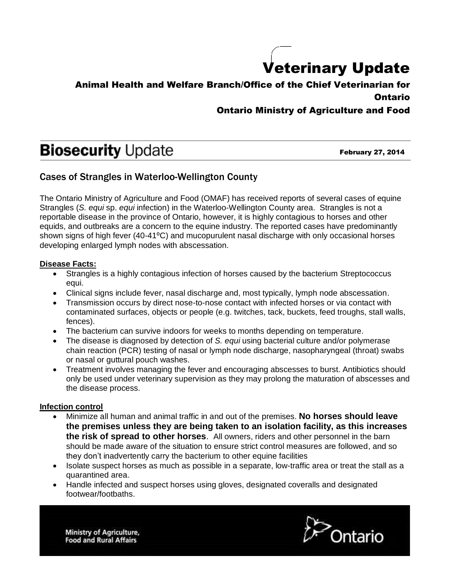## Veterinary Update

## Animal Health and Welfare Branch/Office of the Chief Veterinarian for Ontario

### Ontario Ministry of Agriculture and Food

# **Biosecurity Update**

February 27, 2014

## Cases of Strangles in Waterloo-Wellington County

The Ontario Ministry of Agriculture and Food (OMAF) has received reports of several cases of equine Strangles (*S. equi* sp. *equi* infection) in the Waterloo-Wellington County area. Strangles is not a reportable disease in the province of Ontario, however, it is highly contagious to horses and other equids, and outbreaks are a concern to the equine industry. The reported cases have predominantly shown signs of high fever (40-41°C) and mucopurulent nasal discharge with only occasional horses developing enlarged lymph nodes with abscessation.

#### **Disease Facts:**

- Strangles is a highly contagious infection of horses caused by the bacterium Streptococcus equi.
- Clinical signs include fever, nasal discharge and, most typically, lymph node abscessation.
- Transmission occurs by direct nose-to-nose contact with infected horses or via contact with contaminated surfaces, objects or people (e.g. twitches, tack, buckets, feed troughs, stall walls, fences).
- The bacterium can survive indoors for weeks to months depending on temperature.
- The disease is diagnosed by detection of *S. equi* using bacterial culture and/or polymerase chain reaction (PCR) testing of nasal or lymph node discharge, nasopharyngeal (throat) swabs or nasal or guttural pouch washes.
- Treatment involves managing the fever and encouraging abscesses to burst. Antibiotics should only be used under veterinary supervision as they may prolong the maturation of abscesses and the disease process.

#### **Infection control**

- Minimize all human and animal traffic in and out of the premises. **No horses should leave the premises unless they are being taken to an isolation facility, as this increases the risk of spread to other horses**. All owners, riders and other personnel in the barn should be made aware of the situation to ensure strict control measures are followed, and so they don't inadvertently carry the bacterium to other equine facilities
- $\bullet$  Isolate suspect horses as much as possible in a separate, low-traffic area or treat the stall as a quarantined area.
- Handle infected and suspect horses using gloves, designated coveralls and designated footwear/footbaths.

Ministry of Agriculture, **Food and Rural Affairs**